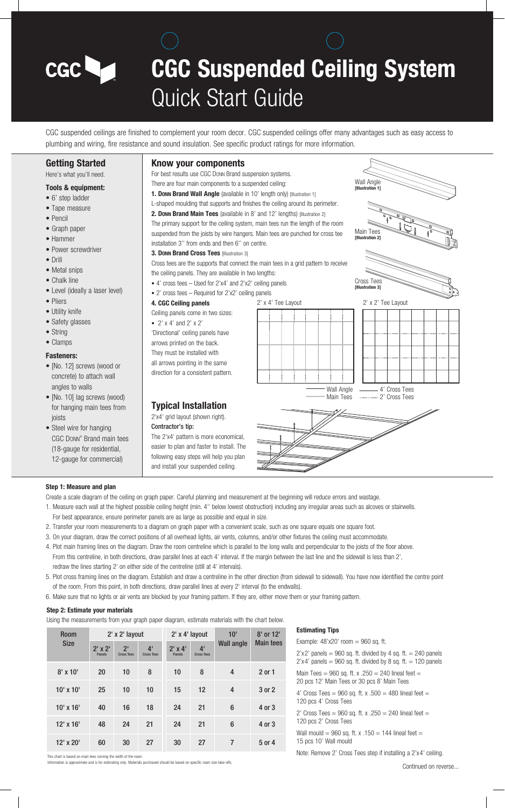# **CGC Suspended Ceiling System** Quick Start Guide

CGC suspended ceilings are finished to complement your room decor. CGC suspended ceilings offer many advantages such as easy access to plumbing and wiring, fire resistance and sound insulation. See specific product ratings for more information.

#### **Getting Started**

CGC **La** 

Here's what you'll need.

#### **Tools & equipment:**

- 6' step ladder
- Tape measure
- Pencil
- Graph paper
- Hammer
- Power screwdriver
- Drill
- Metal snips
- Chalk line
- Level (ideally a laser level)
- Pliers
- Utility knife
- Safety glasses
- String
- Clamps

#### **Fasteners:**

- [No. 12] screws (wood or concrete) to attach wall angles to walls
- [No. 10] lag screws (wood) for hanging main tees from joists
- Steel wire for hanging CGC DONN® Brand main tees (18-gauge for residential, 12-gauge for commercial)

#### **Know your components**

- For best results use CGC DONN Brand suspension systems.
- There are four main components to a suspended ceiling:
- **1. Donn Brand Wall Angle** (available in 10' length only) [Illustration 1]
- L-shaped moulding that supports and finishes the ceiling around its perimeter.

The primary support for the ceiling system, main tees run the length of the room suspended from the joists by wire hangers. Main tees are punched for cross tee installation 3'' from ends and then 6'' on centre.

**3. DONN Brand Cross Tees** [Illustration 3]

Cross tees are the supports that connect the main tees in a grid pattern to receive the ceiling panels. They are available in two lengths:

- 4' cross tees Used for 2'x4' and 2'x2' ceiling panels
- 2' cross tees Required for 2'x2' ceiling panels
- **4. CGC Ceiling panels**

Ceiling panels come in two sizes:

• 2'  $\times$  4' and 2'  $\times$  2' 'Directional' ceiling panels have arrows printed on the back. They must be installed with all arrows pointing in the same direction for a consistent pattern.

#### **Typical Installation** 2'x4' grid layout (shown right).

### Contractor's tip:

The 2'x4' pattern is more economical,



#### **Step 1: Measure and plan**

Create a scale diagram of the ceiling on graph paper. Careful planning and measurement at the beginning will reduce errors and wastage.

- 1. Measure each wall at the highest possible ceiling height (min. 4'' below lowest obstruction) including any irregular areas such as alcoves or stairwells. For best appearance, ensure perimeter panels are as large as possible and equal in size.
- 2. Transfer your room measurements to a diagram on graph paper with a convenient scale, such as one square equals one square foot.
- 3. On your diagram, draw the correct positions of all overhead lights, air vents, columns, and/or other fixtures the ceiling must accommodate.
- 4. Plot main framing lines on the diagram. Draw the room centreline which is parallel to the long walls and perpendicular to the joists of the floor above. From this centreline, in both directions, draw parallel lines at each 4' interval. If the margin between the last line and the sidewall is less than 2', redraw the lines starting 2' on either side of the centreline (still at 4' intervals).
- 5. Plot cross framing lines on the diagram. Establish and draw a centreline in the other direction (from sidewall to sidewall). You have now identified the centre point of the room. From this point, in both directions, draw parallel lines at every 2' interval (to the endwalls).
- 6. Make sure that no lights or air vents are blocked by your framing pattern. If they are, either move them or your framing pattern.

#### **Step 2: Estimate your materials**

This chart is based on main tees running the width of the room.

Using the measurements from your graph paper diagram, estimate materials with the chart below.

| 10 <sup>1</sup><br>2' x 2' layout<br>2' x 4' layout<br><b>Room</b><br><b>Size</b><br><b>Wall angle</b><br>2 <sup>1</sup><br>4'<br>4'<br>$2'$ x $2'$<br>$2' \times 4'$<br>Panels<br><b>Panels</b><br><b>Cross Tees</b><br><b>Cross Tees</b><br><b>Cross Tees</b><br>$8'$ x 10'<br>8<br>8<br>20<br>10<br>10<br>4<br>2 or 1 | comig and models and money money your graph paper anagham poundate |  |  |  |  |  |  |  |  |  |
|--------------------------------------------------------------------------------------------------------------------------------------------------------------------------------------------------------------------------------------------------------------------------------------------------------------------------|--------------------------------------------------------------------|--|--|--|--|--|--|--|--|--|
|                                                                                                                                                                                                                                                                                                                          | 8' or 12'<br><b>Main tees</b>                                      |  |  |  |  |  |  |  |  |  |
|                                                                                                                                                                                                                                                                                                                          |                                                                    |  |  |  |  |  |  |  |  |  |
|                                                                                                                                                                                                                                                                                                                          |                                                                    |  |  |  |  |  |  |  |  |  |
| 10' x 10'<br>12<br>25<br>10<br>15<br>10<br>4<br>3 or 2                                                                                                                                                                                                                                                                   |                                                                    |  |  |  |  |  |  |  |  |  |
| 21<br>6<br>$10'$ x $16'$<br>18<br>24<br>40<br>16<br>4 or 3                                                                                                                                                                                                                                                               |                                                                    |  |  |  |  |  |  |  |  |  |
| $12'$ x $16'$<br>21<br>24<br>21<br>24<br>6<br>48<br>4 or 3                                                                                                                                                                                                                                                               |                                                                    |  |  |  |  |  |  |  |  |  |
| 27<br>$\overline{7}$<br>12' x 20'<br>30<br>27<br>30<br>60<br>5 or 4                                                                                                                                                                                                                                                      |                                                                    |  |  |  |  |  |  |  |  |  |

#### **Estimating Tips**

Example:  $48'x20'$  room = 960 sq. ft.  $2'x2'$  panels = 960 sq. ft. divided by 4 sq. ft. = 240 panels  $2'x4'$  panels = 960 sq. ft. divided by 8 sq. ft. = 120 panels Main Tees =  $960$  sq. ft. x .250 = 240 lineal feet = 20 pcs 12' Main Tees or 30 pcs 8' Main Tees 4' Cross Tees =  $960$  sq. ft. x  $.500 = 480$  lineal feet = 120 pcs 4' Cross Tees 2' Cross Tees =  $960$  sq. ft. x .250 = 240 lineal feet = 120 pcs 2' Cross Tees

Wall mould = 960 sq. ft. x  $.150 = 144$  lineal feet = 15 pcs 10' Wall mould

Note: Remove 2' Cross Tees step if installing a 2'x4' ceiling.

## easier to plan and faster to install. The following easy steps will help you plan and install your suspended ceiling.